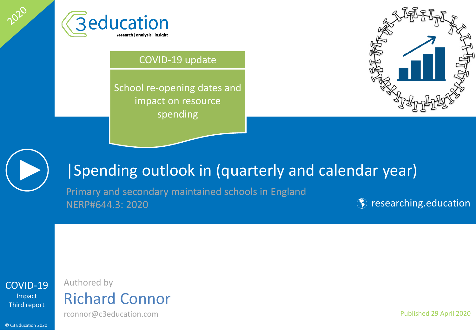

#### COVID-19 update

School re-opening dates and impact on resource spending





2020

#### |Spending outlook in (quarterly and calendar year)

Primary and secondary maintained schools in England NERP#644.3: 2020

**(\*)** [researching.education](http://www.researching.education/)



## Authored by Richard Connor

rconnor@c3education.com

© C3 Education 2020

Published 29 April 2020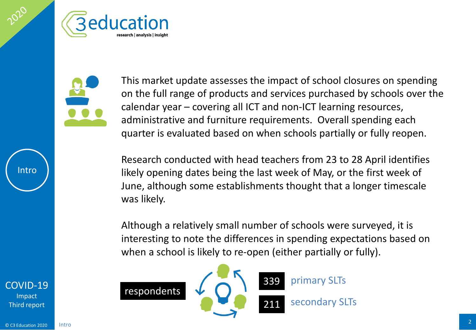<span id="page-1-0"></span>



This market update assesses the impact of school closures on spending on the full range of products and services purchased by schools over the calendar year – covering all ICT and non-ICT learning resources, administrative and furniture requirements. Overall spending each quarter is evaluated based on when schools partially or fully reopen.

Research conducted with head teachers from 23 to 28 April identifies likely opening dates being the last week of May, or the first week of June, although some establishments thought that a longer timescale was likely.

Although a relatively small number of schools were surveyed, it is interesting to note the differences in spending expectations based on when a school is likely to re-open (either partially or fully).



[COVID-19](#page-1-0) Impact Third report

Intro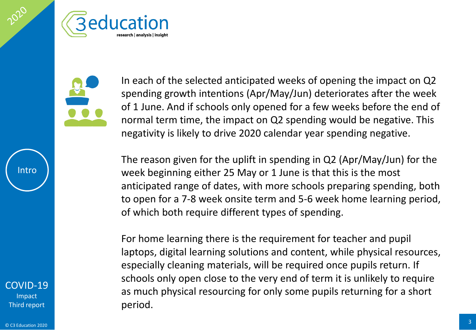

In each of the selected anticipated weeks of opening the impact on Q2 spending growth intentions (Apr/May/Jun) deteriorates after the week of 1 June. And if schools only opened for a few weeks before the end of normal term time, the impact on Q2 spending would be negative. This negativity is likely to drive 2020 calendar year spending negative.

The reason given for the uplift in spending in Q2 (Apr/May/Jun) for the week beginning either 25 May or 1 June is that this is the most anticipated range of dates, with more schools preparing spending, both to open for a 7-8 week onsite term and 5-6 week home learning period, of which both require different types of spending.

For home learning there is the requirement for teacher and pupil laptops, digital learning solutions and content, while physical resources, especially cleaning materials, will be required once pupils return. If schools only open close to the very end of term it is unlikely to require as much physical resourcing for only some pupils returning for a short period.

[COVID-19](#page-1-0) Impact Third report

Intro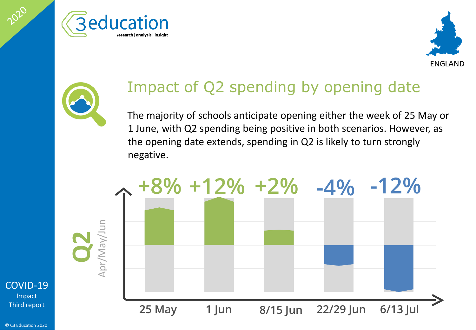





# Impact of Q2 spending by opening date

The majority of schools anticipate opening either the week of 25 May or 1 June, with Q2 spending being positive in both scenarios. However, as the opening date extends, spending in Q2 is likely to turn strongly negative.



[COVID-19](#page-1-0)

2020

Impact Third report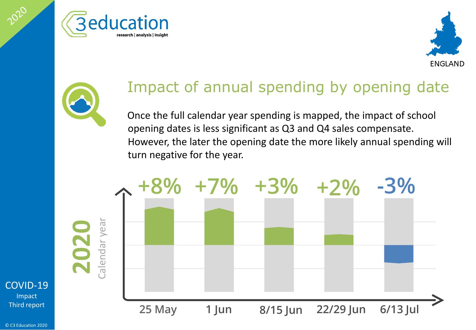





#### Impact of annual spending by opening date

Once the full calendar year spending is mapped, the impact of school opening dates is less significant as Q3 and Q4 sales compensate. However, the later the opening date the more likely annual spending will turn negative for the year.



**2020**

[COVID-19](#page-1-0) Impact

2020

Third report

© C3 Education 2020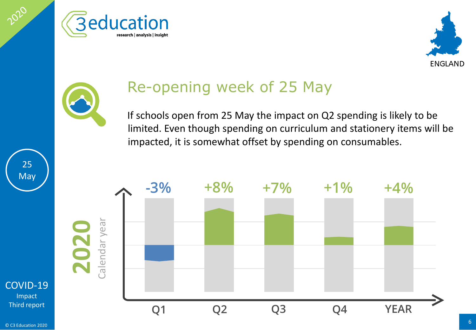





## Re-opening week of 25 May

If schools open from 25 May the impact on Q2 spending is likely to be limited. Even though spending on curriculum and stationery items will be impacted, it is somewhat offset by spending on consumables.



Impact Third report

25

**May**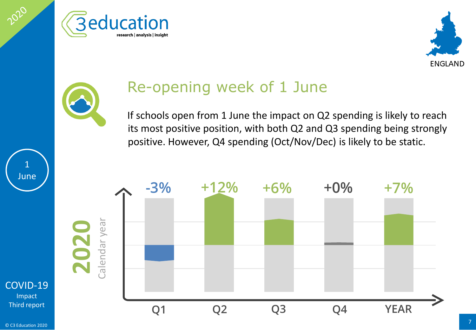





## Re-opening week of 1 June

If schools open from 1 June the impact on Q2 spending is likely to reach its most positive position, with both Q2 and Q3 spending being strongly positive. However, Q4 spending (Oct/Nov/Dec) is likely to be static.



Impact Third report

1 June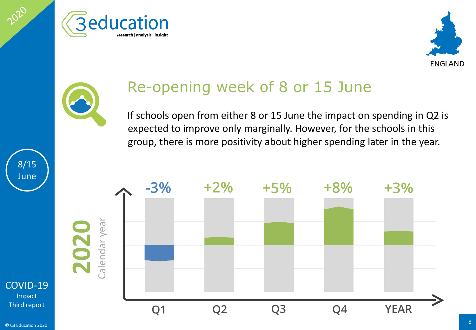





#### Re-opening week of 8 or 15 June

If schools open from either 8 or 15 June the impact on spending in Q2 is expected to improve only marginally. However, for the schools in this group, there is more positivity about higher spending later in the year.



[COVID-19](#page-1-0) Impact Third report

8/15 June

2020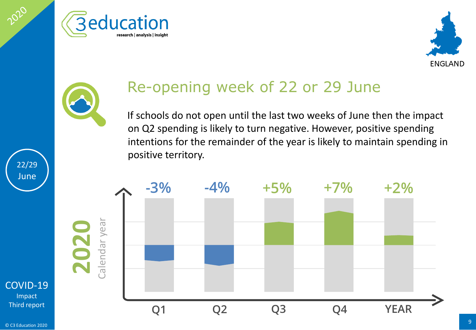





## Re-opening week of 22 or 29 June

If schools do not open until the last two weeks of June then the impact on Q2 spending is likely to turn negative. However, positive spending intentions for the remainder of the year is likely to maintain spending in positive territory.



22/29 June

2020

#### [COVID-19](#page-1-0) Impact Third report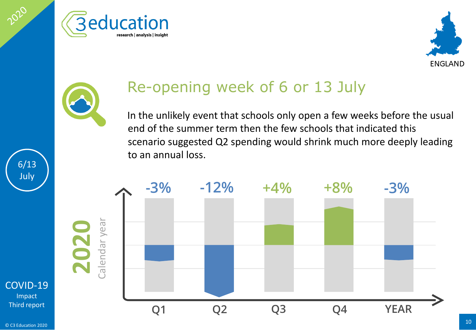





# Re-opening week of 6 or 13 July

In the unlikely event that schools only open a few weeks before the usual end of the summer term then the few schools that indicated this scenario suggested Q2 spending would shrink much more deeply leading to an annual loss.



**2020**

[COVID-19](#page-1-0) Impact Third report

6/13 July

2020